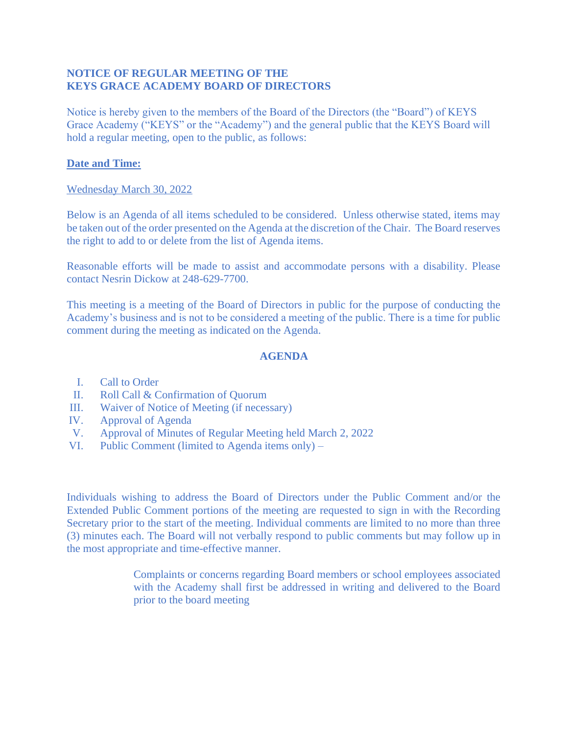## **NOTICE OF REGULAR MEETING OF THE KEYS GRACE ACADEMY BOARD OF DIRECTORS**

Notice is hereby given to the members of the Board of the Directors (the "Board") of KEYS Grace Academy ("KEYS" or the "Academy") and the general public that the KEYS Board will hold a regular meeting, open to the public, as follows:

## **Date and Time:**

## Wednesday March 30, 2022

Below is an Agenda of all items scheduled to be considered. Unless otherwise stated, items may be taken out of the order presented on the Agenda at the discretion of the Chair. The Board reserves the right to add to or delete from the list of Agenda items.

Reasonable efforts will be made to assist and accommodate persons with a disability. Please contact Nesrin Dickow at 248-629-7700.

This meeting is a meeting of the Board of Directors in public for the purpose of conducting the Academy's business and is not to be considered a meeting of the public. There is a time for public comment during the meeting as indicated on the Agenda.

## **AGENDA**

- I. Call to Order
- II. Roll Call & Confirmation of Quorum
- III. Waiver of Notice of Meeting (if necessary)
- IV. Approval of Agenda
- V. Approval of Minutes of Regular Meeting held March 2, 2022
- VI. Public Comment (limited to Agenda items only) –

Individuals wishing to address the Board of Directors under the Public Comment and/or the Extended Public Comment portions of the meeting are requested to sign in with the Recording Secretary prior to the start of the meeting. Individual comments are limited to no more than three (3) minutes each. The Board will not verbally respond to public comments but may follow up in the most appropriate and time-effective manner.

> Complaints or concerns regarding Board members or school employees associated with the Academy shall first be addressed in writing and delivered to the Board prior to the board meeting